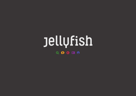# **Jellyfish** QSCDA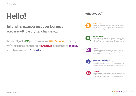## **What We Do? Hello!**

## **Jellyfish create perfect user journeys across multiple digital channels...**

We aren't just **PPC** professionals or **SEO & Social** experts, we're also passionate about **Creative**, dedicated to **Display** and obsessed with **Analytics**.





**SEO & Social** The process of improving the position of a website or a web page in a search engine's natural or un-paid search results with view to enhancing visibility to target audiences.



**Pay-Per-Click** A digital advertising model where advertisers pay a search engine only when their ad on a results page is clicked. The most prominent Pay-per-click platform is Google Adwords.



### **Display**

The placement of creative assets, such as banner ads, on high-value platforms with view to them generating quality click-throughs to a target website.



### **Analytics & Optimisation**



The study of the ways in which an audience interacts with a particular website and the subsequent improvements to a digital strategy that can be made, based on hard findings.

### **QOOD O** TellUfish

### **Creative**

The production of visual marketing assets used across offline & online activity. This may take the form of branding, web design, App development and campaign concept design.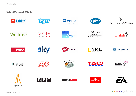### $\mathcal{N}$ Dorchester Collection











### **Who We Work With**



















#fitbit







Riverford







**GameStop®** 

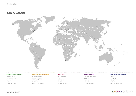

### **Where We Are**



#### **London, United Kingdom**

Jellyfish House 31 London Road Reigate London RH2 9SS

#### **Brighton, United Kingdom**

Metway Studios 55 Canning Street Brighton East Sussex BN2 0EF

#### **NYC, USA**

11 Penn Plaza 5th Floor New York New York 10001

#### **Baltimore, USA** 400 East Pratt Street 8th Floor Baltimore Maryland 21202

#### **Cape Town, South Africa**

Unit 4 9 Wedge Road Westville KwaZulu-Natal 3629

### a s o a o jellyfish